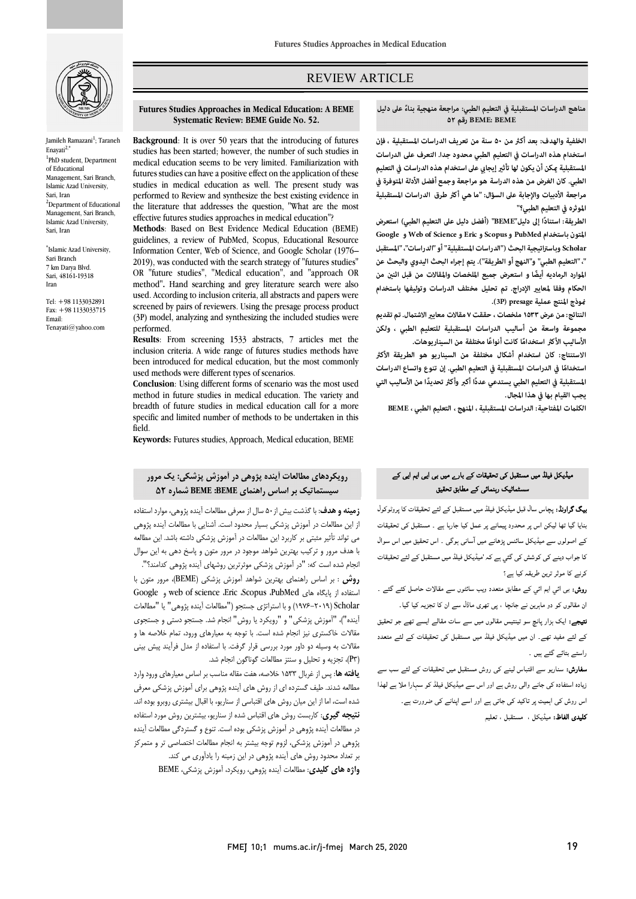

Jamileh Ramazani<sup>1</sup>; Taraneh Enayati2,\* <sup>1</sup>PhD student, Department of Educational Management, Sari Branch, Islamic Azad University, Sari, Iran <sup>2</sup>Department of Educational Management, Sari Branch, Islamic Azad University, Sari, Iran

\* Islamic Azad University, Sari Branch 7 km Darya Blvd. Sari, 48161-19318 Iran

Tel: +98 1133032891 Fax: +98 1133033715 Email: Tenayati@yahoo.com

# REVIEW ARTICLE

#### **ً على دليل مناهج الدراسات المستقبلية في التعليم الطبي: مراجعة منهجية بناء ۵۲ رقم BEME: BEME**

ص

**الموثره في التعليم الطبي؟"** 

الخلفية والهدف: بعد أكثر من ۵۰ سنة من تعريف الدراسات المستقبلية ، فإن **استخدام هذه الدراسات في التعليم الطبي محدود جدا. التعرف علی الدراسات الطبي. كان الغرض من هذه الدراسة هو مراجعة وجمع أفضل الأ دلة المتوفرة في**  .<br>مراجعة الأدبيات والإجابة على السؤال: "ما هي أكثر طرق الدراسات المستقبلية المستقبلية <sub>ت</sub>كن أن يكون لها تأثير إيجابى على استخدام هذه الدراسات في التعليم

 **استنادا إلى دليل"BEME) "أفضل دليل على التعليم الطبي) استعرض الطريقة: ً Google و Web of Science و Eric وScopus و PubMed باستخدام المتون Scholarوباستراتيجية البحث ("الدراسات المستقبلية" أو "الدراسات"، "المستقبل "، "التعليم الطبي" و"النهج أو الطريقة"). يتم إجراء البحث اليدوي والبحث عن الحكام وفقا لمعاي الإدراج. تم تحليل مختلف الدراسات وتوليفها باستخدام وذج المنتج عملية presage) P3(.**  الموارد الرماديه أيضًا و استعرض جميع الملخصات والمقالات من قبل اثنين من

النتائج: من عرض ۱۵۳۳ ملخصات ، حققت ۷ مقالات معايير الاشتمال. تم تقديم **مجموعة واسعة من أساليب الدراسات المستقبلية للتعليم الطبي ، ولكن**  الأساليب الأكثر استخدامًا كانت أنواعًا مختلفة من السيناريوهات.

 **الاستنتاج: كان استخدام أشكال مختلفة من السيناريو هو الطريقة الأك ً المستقبلية في التعليم الطبي يستدعي عدد ً ا أكبر وأك تحديدا من الأساليب التي يجب القيام بها في هذا المجال. استخداما في الدراسات المستقبلية في التعليم الطبي. إن تنوع واتساع الدراسات ً**

**الكلت المفتاحية: الدراسات المستقبلية ، المنهج ، التعليم الطبي ، BEME**

#### **Futures Studies Approaches in Medical Education: A BEME Systematic Review: BEME Guide No. 52.**

Ī

 **Background**: It is over 50 years that the introducing of futures medical education seems to be very limited. Familiarization with futures studies can have a positive effect on the application of these performed to Review and synthesize the best existing evidence in the literature that addresses the question, "What are the most effective futures studies approaches in medical education"? studies has been started; however, the number of such studies in studies in medical education as well. The present study was

 guidelines, a review of PubMed, Scopus, Educational Resource Information Center, Web of Science, and Google Scholar (1976– OR "future studies", "Medical education", and "approach OR method"**.** Hand searching and grey literature search were also used. According to inclusion criteria, all abstracts and papers were (3P) model, analyzing and synthesizing the included studies were **Methods**: Based on Best Evidence Medical Education (BEME) 2019), was conducted with the search strategy of "futures studies" screened by pairs of reviewers. Using the presage process product performed.

**inclusion criteria.** A wide range of futures studies methods have been introduced for medical education, but the most commonly used methods were different types of scenarios. **Results**: From screening 1533 abstracts, 7 articles met the

 method in future studies in medical education. The variety and breadth of future studies in medical education call for a more specific and limited number of methods to be undertaken in this **Conclusion**: Using different forms of scenario was the most used field.

**Keywords:** Futures studies, Approach, Medical education, BEME

# **رویکردهاي مطالعات آینده پژوهی در آموزش پزشکی: یک مرور سیستماتیک بر اساس راهنماي BEME: BEME شماره 52**

Ï با هدف مرور و ترکیب بهترین شواهد موجود در مرور متون و پاسخ دهی به این سوال انجام شده است که: "در آموزش پزشکی موثرترین روشهاي آینده پژوهی کدامند؟". **روش** : بر اساس راهنماي بهترین شواهد آموزش پزشکی (BEME(، مرور متون با Google و web of science ،Eric ،Scopus ،PubMed هاي پایگاه از استفاده Scholar) 1976-2019 (و با استراتژي جستجو ("مطالعات آینده پژوهی" یا "مطالعات آینده")، "آموزش پزشکی" و "رویکرد یا روش" انجام شد. جستجو دستی و جستجوي مقالات خاکستري نیز انجام شده است. با توجه به معیارهاي ورود، تمام خلاصه ها و (3P(، تجزیه و تحلیل و سنتز مطالعات گوناگون انجام شد. از این مطالعات در آموزش پزشکی بسیار محدود است. آشنایی با مطالعات آینده پژوهی می تواند تأثیر مثبتی بر کاربرد این مطالعات در آموزش پزشکی داشته باشد. این مطالعه مقالات به وسیله دو داور مورد بررسی قرار گرفت. با استفاده از مدل فرآیند پیش بینی

 **یافته ها**: پس از غربال 1533 خلاصه، هفت مقاله مناسب بر اساس معیارهاي ورود وارد مطالعه شدند. طیف گسترده اي از روش هاي آینده پژوهی براي آموزش پزشکی معرفی شده است، اما از این میان روش هاي اقتباسی از سناریو، با اقبال بیشتري روبرو بوده اند. **نتیجه گیري**: کاربست روش هاي اقتباس شده از سناریو، بیشترین روش مورد استفاده در مطالعات آینده پژوهی در آموزش پزشکی بوده است. تنوع و گستردگی مطالعات آینده پژوهی در آموزش پزشکی، لزوم توجه بیشتر به انجام مطالعات اختصاصی تر و متمرکز بر تعداد محدود روش هاي آینده پژوهی در این زمینه را یادآوري می کند. **واژه هاي کلیدي**: مطالعات آینده پژوهی، رویکرد، آموزش پزشکی، BEME

#### ۔<br>میڈیکل فیلڈ میں مستقبل ک*ی* تحقیقات کے بارے میں ب*ی* ایی ایم ایی کے Ĭ سستماٹیک رہنمائی کے مطابق تحقیق

**یگ گراونڈ:** پچاس سال قبل میڈیکل فیلڈ میں مستقبل کے لئے تحقیقات کا پروٹوکول<br>'' بنایا گیا تھا لیکن اس پر محدود پیمانے پر عمل کیا جارہا ہے ۔ مستقبل کی تحقیقات<br>۔ کے اصولوں سے میڈیکل سائنس پڑھانے میں آسانی ہوگی ۔ اس تحقیق میں اس سوال کا جواب دینے کی کوشش کی گئي ہے کہ 'میڈیکل فیلڈ میں مستقبل کے لئے تحقیقات کرنے کا موثر ترین طریقہ کیا ہے؟ **یک گراونڈ**: پچاس سال قبل میڈیکل فیلڈ میں مستقبل کے لئے تحقیقات کا پروٹوکول ہو **میں از م**شال از معرفی مطالعات آیندہ پژوهی، موارد استفاده

> ر**وش:** بی ائی ایم ائی<sub>،</sub> کے مطابق متعدد ویب سائٹوں سے مقالات حاصل کئے گئے ۔ ان مقالوں کو دو ماہرین نے جانچا ، پی تھری ماڈل سے ان کا تجزیہ کیا گیا۔ **تیجے:** ایک ہزار پانچ سو تینتیس مقالوں میں سے سات مقالے ایسے تھے جو تحقیق کے لئے مفید تھے۔ ان میں میڈیکل فیلڈ میں مستقبل کی تحقیقات کے لئے متعدد

> > راستے بتائے گئے ہیں ۔

**سفارش:** سناریو سے اقتباس لینے کی روش مستقبل میں تحقیقات کے لئے سب سے زیادہ استفادہ کی جانے والی روش ہے اور اس سے میڈیکل فیلڈ کو سہارا ملا ہے لھذا اس روش کی اہمیت پر تاکید کی جاتی ہے اور اسے اپنانے کی ضرورت ہے۔ **کلیدی الفاظ:** میڈیکل ، مستقبل ، تعلیم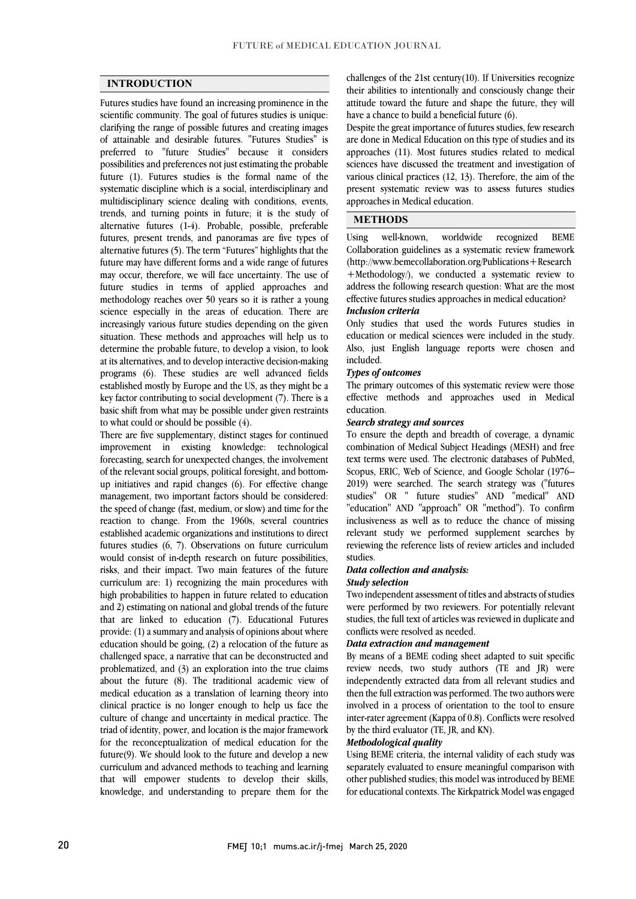# **INTRODUCTION**

 Futures studies have found an increasing prominence in the scientific community. The goal of futures studies is unique: clarifying the range of possible futures and creating images of attainable and desirable futures. "Futures Studies" is possibilities and preferences not just estimating the probable future (1). Futures studies is the formal name of the systematic discipline which is a social, interdisciplinary and trends, and turning points in future; it is the study of alternative futures (1-4). Probable, possible, preferable futures, present trends, and panoramas are five types of alternative futures (5). The term "Futures" highlights that the future may have different forms and a wide range of futures future studies in terms of applied approaches and methodology reaches over 50 years so it is rather a young science especially in the areas of education. There are increasingly various future studies depending on the given determine the probable future, to develop a vision, to look at its alternatives, and to develop interactive decision-making programs (6). These studies are well advanced fields established mostly by Europe and the US, as they might be a basic shift from what may be possible under given restraints preferred to "future Studies" because it considers multidisciplinary science dealing with conditions, events, may occur, therefore, we will face uncertainty. The use of situation. These methods and approaches will help us to key factor contributing to social development (7). There is a to what could or should be possible (4).

 There are five supplementary, distinct stages for continued forecasting, search for unexpected changes, the involvement of the relevant social groups, political foresight, and bottom- up initiatives and rapid changes (6). For effective change management, two important factors should be considered: reaction to change. From the 1960s, several countries established academic organizations and institutions to direct futures studies (6, 7). Observations on future curriculum would consist of in-depth research on future possibilities, curriculum are: 1) recognizing the main procedures with high probabilities to happen in future related to education and 2) estimating on national and global trends of the future that are linked to education (7). Educational Futures  $\mu$  by  $\mu$  and  $\mu$  and  $\mu$  and  $\mu$  and  $\mu$  and  $\mu$  and  $\mu$  and  $\mu$  and  $\mu$  and  $\mu$  are equivalent of the future as challenged space, a narrative that can be deconstructed and problematized, and (3) an exploration into the true claims about the future (8). The traditional academic view of clinical practice is no longer enough to help us face the culture of change and uncertainty in medical practice. The triad of identity, power, and location is the major framework for the reconceptualization of medical education for the  $\alpha$  curriculum and advanced methods to teaching and learning that will empower students to develop their skills, knowledge, and understanding to prepare them for the improvement in existing knowledge: technological the speed of change (fast, medium, or slow) and time for the risks, and their impact. Two main features of the future provide: (1) a summary and analysis of opinions about where medical education as a translation of learning theory into future(9). We should look to the future and develop a new

 their abilities to intentionally and consciously change their attitude toward the future and shape the future, they will challenges of the 21st century(10). If Universities recognize have a chance to build a beneficial future (6).

 Despite the great importance of futures studies, few research approaches (11). Most futures studies related to medical various clinical practices (12, 13). Therefore, the aim of the present systematic review was to assess futures studies are done in Medical Education on this type of studies and its sciences have discussed the treatment and investigation of approaches in Medical education.

# **METHODS**

**BEME**  Collaboration guidelines as a systematic review framework (http://www.bemecollaboration.org/Publications+Research address the following research question: What are the most Using well-known, worldwide recognized +Methodology/), we conducted a systematic review to effective futures studies approaches in medical education?

## *Inclusion criteria*

 Only studies that used the words Futures studies in Also, just English language reports were chosen and education or medical sciences were included in the study. included.

### *Types of outcomes*

 The primary outcomes of this systematic review were those effective methods and approaches used in Medical education.

### *Search strategy and sources*

 To ensure the depth and breadth of coverage, a dynamic combination of Medical Subject Headings (MESH) and free Scopus, ERIC, Web of Science, and Google Scholar (1976– 2019) were searched. The search strategy was ("futures studies" OR " future studies" AND "medical" AND "education" AND "approach" OR "method"). To confirm relevant study we performed supplement searches by reviewing the reference lists of review articles and included text terms were used. The electronic databases of PubMed, inclusiveness as well as to reduce the chance of missing studies.

### *Data collection and analysis:*

#### *Study selection*

 Two independent assessment of titles and abstracts of studies were performed by two reviewers. For potentially relevant studies, the full text of articles was reviewed in duplicate and conflicts were resolved as needed.

### *Data extraction and management*

By means of a BEME coding sheet adapted to suit specific review needs, two study authors (TE and JR) were independently extracted data from all relevant studies and then the full extraction was performed. The two authors were inter-rater agreement (Kappa of 0.8). Conflicts were resolved involved in a process of orientation to the tool to ensure by the third evaluator (TE, JR, and KN).

## *Methodological quality*

 Using BEME criteria, the internal validity of each study was other published studies; this model was introduced by BEME for educational contexts. The Kirkpatrick Model was engaged separately evaluated to ensure meaningful comparison with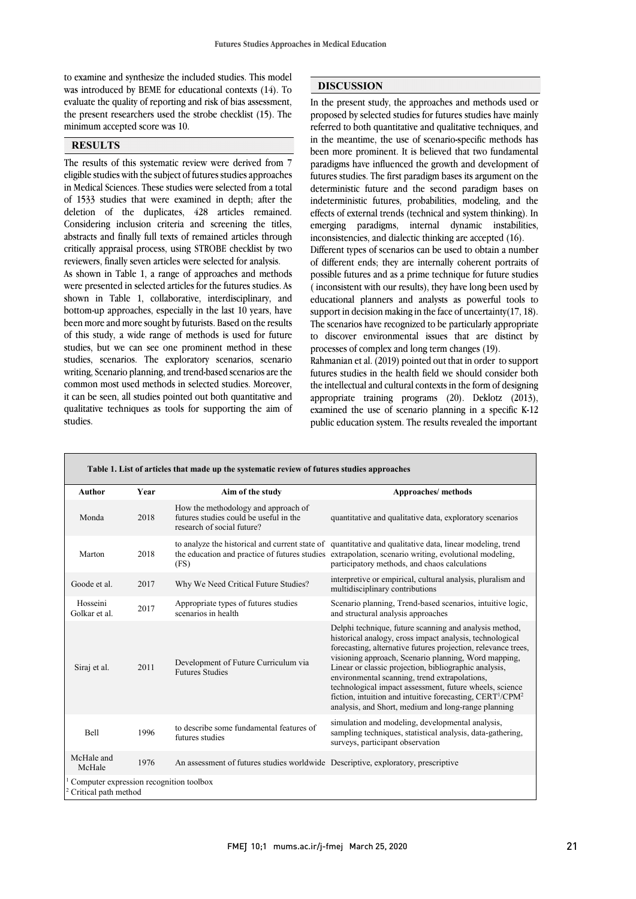was introduced by BEME for educational contexts (14). To evaluate the quality of reporting and risk of bias assessment, the present researchers used the strobe checklist (15). The to examine and synthesize the included studies. This model minimum accepted score was 10.

## **RESULTS**

 The results of this systematic review were derived from 7 eligible studies with the subject of futures studies approaches in Medical Sciences. These studies were selected from a total deletion of the duplicates, 428 articles remained. Considering inclusion criteria and screening the titles, abstracts and finally full texts of remained articles through critically appraisal process, using STROBE checklist by two of 1533 studies that were examined in depth; after the reviewers, finally seven articles were selected for analysis.

 As shown in Table 1, a range of approaches and methods were presented in selected articles for the futures studies. As shown in Table 1, collaborative, interdisciplinary, and bottom-up approaches, especially in the last 10 years, have of this study, a wide range of methods is used for future studies, but we can see one prominent method in these studies, scenarios. The exploratory scenarios, scenario writing, Scenario planning, and trend-based scenarios are the it can be seen, all studies pointed out both quantitative and qualitative techniques as tools for supporting the aim of been more and more sought by futurists. Based on the results common most used methods in selected studies. Moreover, studies.

## **DISCUSSION**

 In the present study, the approaches and methods used or proposed by selected studies for futures studies have mainly referred to both quantitative and qualitative techniques, and in the meantime, the use of scenario-specific methods has paradigms have influenced the growth and development of futures studies. The first paradigm bases its argument on the deterministic future and the second paradigm bases on effects of external trends (technical and system thinking). In emerging paradigms, internal dynamic instabilities, been more prominent. It is believed that two fundamental indeterministic futures, probabilities, modeling, and the inconsistencies, and dialectic thinking are accepted (16).

 Different types of scenarios can be used to obtain a number of different ends; they are internally coherent portraits of ( inconsistent with our results), they have long been used by educational planners and analysts as powerful tools to support in decision making in the face of uncertainty(17, 18). to discover environmental issues that are distinct by possible futures and as a prime technique for future studies The scenarios have recognized to be particularly appropriate processes of complex and long term changes (19).

 Rahmanian et al. (2019) pointed out that in order to support futures studies in the health field we should consider both the intellectual and cultural contexts in the form of designing<br>
(2013) examined the use of scenario planning in a specific K-12 public education system. The results revealed the important appropriate training programs (20). Deklotz (2013),

| Table 1. List of articles that made up the systematic review of futures studies approaches |      |                                                                                                             |                                                                                                                                                                                                                                                                                                                                                                                                                                                                                                                                                              |
|--------------------------------------------------------------------------------------------|------|-------------------------------------------------------------------------------------------------------------|--------------------------------------------------------------------------------------------------------------------------------------------------------------------------------------------------------------------------------------------------------------------------------------------------------------------------------------------------------------------------------------------------------------------------------------------------------------------------------------------------------------------------------------------------------------|
| Author                                                                                     | Year | Aim of the study                                                                                            | Approaches/methods                                                                                                                                                                                                                                                                                                                                                                                                                                                                                                                                           |
| Monda                                                                                      | 2018 | How the methodology and approach of<br>futures studies could be useful in the<br>research of social future? | quantitative and qualitative data, exploratory scenarios                                                                                                                                                                                                                                                                                                                                                                                                                                                                                                     |
| Marton                                                                                     | 2018 | (FS)                                                                                                        | to analyze the historical and current state of quantitative and qualitative data, linear modeling, trend<br>the education and practice of futures studies extrapolation, scenario writing, evolutional modeling,<br>participatory methods, and chaos calculations                                                                                                                                                                                                                                                                                            |
| Goode et al.                                                                               | 2017 | Why We Need Critical Future Studies?                                                                        | interpretive or empirical, cultural analysis, pluralism and<br>multidisciplinary contributions                                                                                                                                                                                                                                                                                                                                                                                                                                                               |
| Hosseini<br>Golkar et al.                                                                  | 2017 | Appropriate types of futures studies<br>scenarios in health                                                 | Scenario planning, Trend-based scenarios, intuitive logic,<br>and structural analysis approaches                                                                                                                                                                                                                                                                                                                                                                                                                                                             |
| Siraj et al.                                                                               | 2011 | Development of Future Curriculum via<br><b>Futures Studies</b>                                              | Delphi technique, future scanning and analysis method,<br>historical analogy, cross impact analysis, technological<br>forecasting, alternative futures projection, relevance trees,<br>visioning approach, Scenario planning, Word mapping,<br>Linear or classic projection, bibliographic analysis,<br>environmental scanning, trend extrapolations,<br>technological impact assessment, future wheels, science<br>fiction, intuition and intuitive forecasting, CERT <sup>1</sup> /CPM <sup>2</sup><br>analysis, and Short, medium and long-range planning |
| Bell                                                                                       | 1996 | to describe some fundamental features of<br>futures studies                                                 | simulation and modeling, developmental analysis,<br>sampling techniques, statistical analysis, data-gathering,<br>surveys, participant observation                                                                                                                                                                                                                                                                                                                                                                                                           |
| McHale and<br>McHale                                                                       | 1976 | An assessment of futures studies worldwide Descriptive, exploratory, prescriptive                           |                                                                                                                                                                                                                                                                                                                                                                                                                                                                                                                                                              |
| Computer expression recognition toolbox<br>Critical path method                            |      |                                                                                                             |                                                                                                                                                                                                                                                                                                                                                                                                                                                                                                                                                              |

 $\overline{a}$ 

 $\overline{a}$